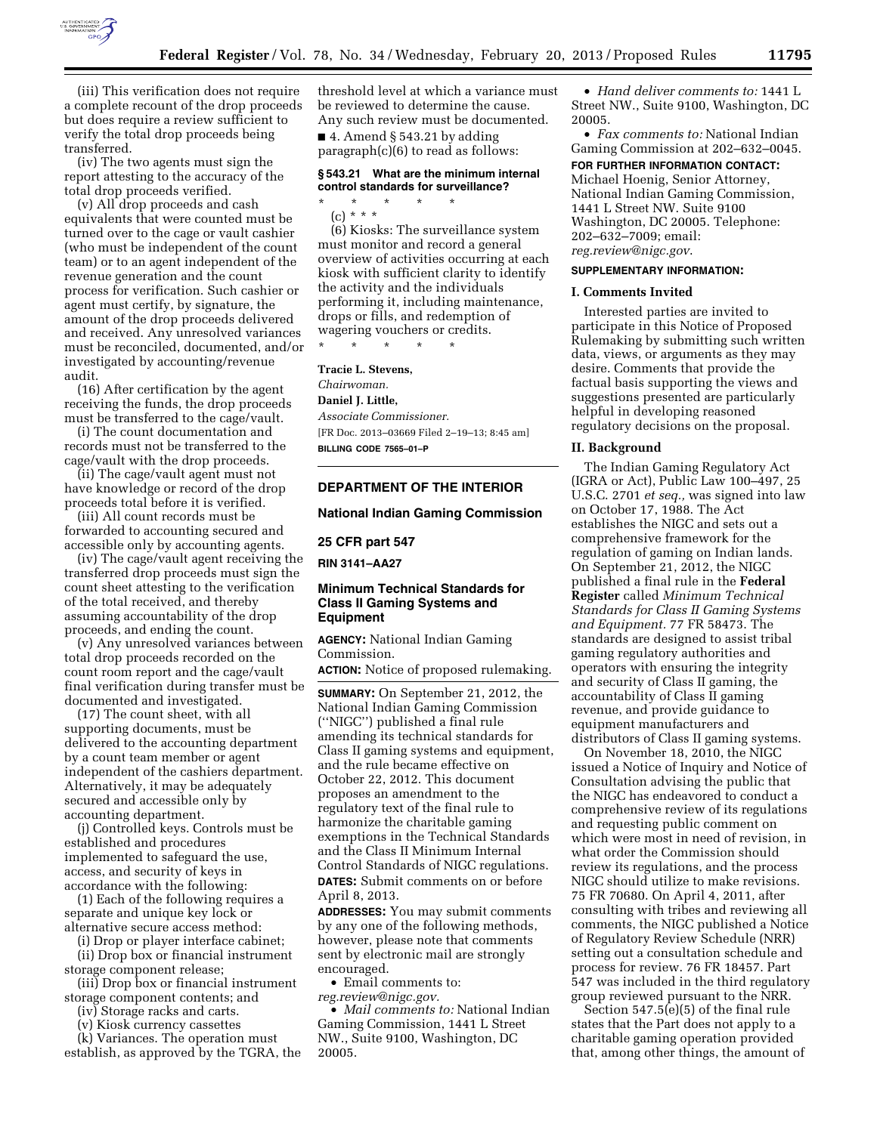

(iii) This verification does not require a complete recount of the drop proceeds but does require a review sufficient to verify the total drop proceeds being transferred.

(iv) The two agents must sign the report attesting to the accuracy of the total drop proceeds verified.

(v) All drop proceeds and cash equivalents that were counted must be turned over to the cage or vault cashier (who must be independent of the count team) or to an agent independent of the revenue generation and the count process for verification. Such cashier or agent must certify, by signature, the amount of the drop proceeds delivered and received. Any unresolved variances must be reconciled, documented, and/or investigated by accounting/revenue audit.

(16) After certification by the agent receiving the funds, the drop proceeds must be transferred to the cage/vault.

(i) The count documentation and records must not be transferred to the cage/vault with the drop proceeds.

(ii) The cage/vault agent must not have knowledge or record of the drop proceeds total before it is verified.

(iii) All count records must be forwarded to accounting secured and accessible only by accounting agents.

(iv) The cage/vault agent receiving the transferred drop proceeds must sign the count sheet attesting to the verification of the total received, and thereby assuming accountability of the drop proceeds, and ending the count.

(v) Any unresolved variances between total drop proceeds recorded on the count room report and the cage/vault final verification during transfer must be documented and investigated.

(17) The count sheet, with all supporting documents, must be delivered to the accounting department by a count team member or agent independent of the cashiers department. Alternatively, it may be adequately secured and accessible only by accounting department.

(j) Controlled keys. Controls must be established and procedures implemented to safeguard the use, access, and security of keys in accordance with the following:

(1) Each of the following requires a separate and unique key lock or alternative secure access method:

(i) Drop or player interface cabinet;

(ii) Drop box or financial instrument storage component release;

(iii) Drop box or financial instrument storage component contents; and

(iv) Storage racks and carts.

(v) Kiosk currency cassettes

(k) Variances. The operation must establish, as approved by the TGRA, the threshold level at which a variance must be reviewed to determine the cause. Any such review must be documented.  $\blacksquare$  4. Amend § 543.21 by adding paragraph(c)(6) to read as follows:

### **§ 543.21 What are the minimum internal control standards for surveillance?**

\* \* \* \* \*

(c) \* \* \*

(6) Kiosks: The surveillance system must monitor and record a general overview of activities occurring at each kiosk with sufficient clarity to identify the activity and the individuals performing it, including maintenance, drops or fills, and redemption of wagering vouchers or credits.

\* \* \* \* \*

**Tracie L. Stevens,** 

*Chairwoman.*  **Daniel J. Little,** 

*Associate Commissioner.*  [FR Doc. 2013–03669 Filed 2–19–13; 8:45 am] **BILLING CODE 7565–01–P** 

# **DEPARTMENT OF THE INTERIOR**

**National Indian Gaming Commission** 

**25 CFR part 547** 

**RIN 3141–AA27** 

# **Minimum Technical Standards for Class II Gaming Systems and Equipment**

**AGENCY:** National Indian Gaming Commission.

**ACTION:** Notice of proposed rulemaking.

**SUMMARY:** On September 21, 2012, the National Indian Gaming Commission (''NIGC'') published a final rule amending its technical standards for Class II gaming systems and equipment, and the rule became effective on October 22, 2012. This document proposes an amendment to the regulatory text of the final rule to harmonize the charitable gaming exemptions in the Technical Standards and the Class II Minimum Internal Control Standards of NIGC regulations. **DATES:** Submit comments on or before April 8, 2013.

**ADDRESSES:** You may submit comments by any one of the following methods, however, please note that comments sent by electronic mail are strongly encouraged.

• Email comments to: *[reg.review@nigc.gov.](mailto:reg.review@nigc.gov)* 

• *Mail comments to:* National Indian Gaming Commission, 1441 L Street NW., Suite 9100, Washington, DC 20005.

• *Hand deliver comments to:* 1441 L Street NW., Suite 9100, Washington, DC 20005.

• *Fax comments to:* National Indian Gaming Commission at 202–632–0045.

# **FOR FURTHER INFORMATION CONTACT:**

Michael Hoenig, Senior Attorney, National Indian Gaming Commission, 1441 L Street NW. Suite 9100 Washington, DC 20005. Telephone: 202–632–7009; email: *[reg.review@nigc.gov](mailto:reg.review@nigc.gov)*.

# **SUPPLEMENTARY INFORMATION:**

### **I. Comments Invited**

Interested parties are invited to participate in this Notice of Proposed Rulemaking by submitting such written data, views, or arguments as they may desire. Comments that provide the factual basis supporting the views and suggestions presented are particularly helpful in developing reasoned regulatory decisions on the proposal.

### **II. Background**

The Indian Gaming Regulatory Act (IGRA or Act), Public Law 100–497, 25 U.S.C. 2701 *et seq.,* was signed into law on October 17, 1988. The Act establishes the NIGC and sets out a comprehensive framework for the regulation of gaming on Indian lands. On September 21, 2012, the NIGC published a final rule in the **Federal Register** called *Minimum Technical Standards for Class II Gaming Systems and Equipment.* 77 FR 58473. The standards are designed to assist tribal gaming regulatory authorities and operators with ensuring the integrity and security of Class II gaming, the accountability of Class II gaming revenue, and provide guidance to equipment manufacturers and distributors of Class II gaming systems.

On November 18, 2010, the NIGC issued a Notice of Inquiry and Notice of Consultation advising the public that the NIGC has endeavored to conduct a comprehensive review of its regulations and requesting public comment on which were most in need of revision, in what order the Commission should review its regulations, and the process NIGC should utilize to make revisions. 75 FR 70680. On April 4, 2011, after consulting with tribes and reviewing all comments, the NIGC published a Notice of Regulatory Review Schedule (NRR) setting out a consultation schedule and process for review. 76 FR 18457. Part 547 was included in the third regulatory group reviewed pursuant to the NRR.

Section 547.5(e)(5) of the final rule states that the Part does not apply to a charitable gaming operation provided that, among other things, the amount of